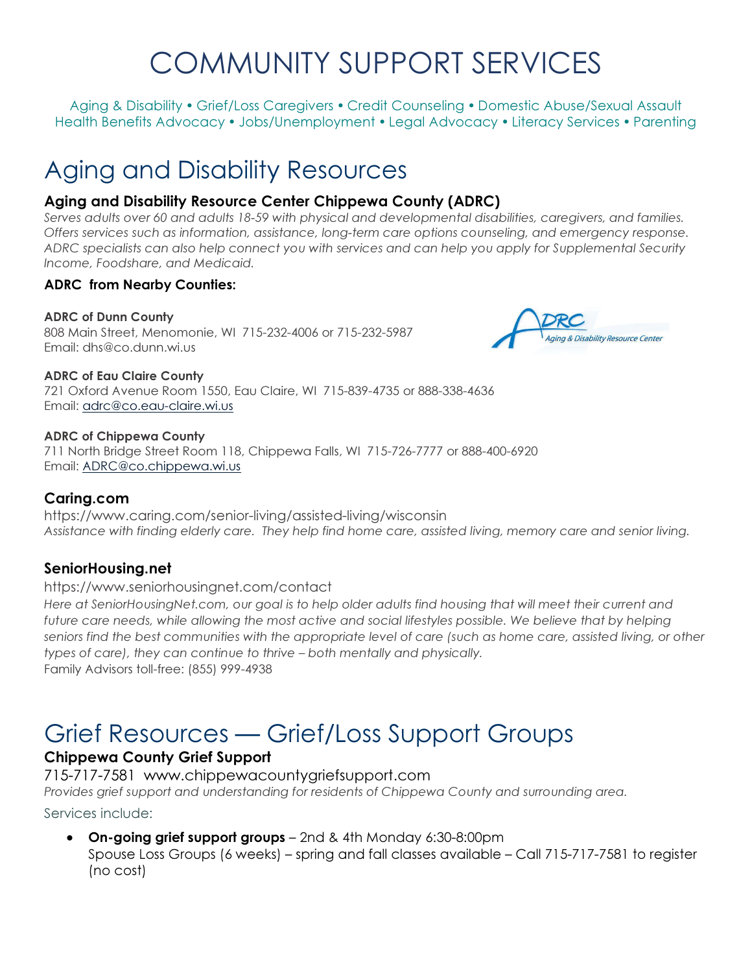# COMMUNITY SUPPORT SERVICES

Aging & Disability • Grief/Loss Caregivers • Credit Counseling • Domestic Abuse/Sexual Assault Health Benefits Advocacy • Jobs/Unemployment • Legal Advocacy • Literacy Services • Parenting

# Aging and Disability Resources

### Aging and Disability Resource Center Chippewa County (ADRC)

Serves adults over 60 and adults 18-59 with physical and developmental disabilities, caregivers, and families. Offers services such as information, assistance, long-term care options counseling, and emergency response. ADRC specialists can also help connect you with services and can help you apply for Supplemental Security Income, Foodshare, and Medicaid.

#### ADRC from Nearby Counties:

#### ADRC of Dunn County

808 Main Street, Menomonie, WI 715-232-4006 or 715-232-5987 Email: dhs@co.dunn.wi.us



#### ADRC of Eau Claire County

721 Oxford Avenue Room 1550, Eau Claire, WI 715-839-4735 or 888-338-4636 Email: adrc@co.eau-claire.wi.us

#### ADRC of Chippewa County

711 North Bridge Street Room 118, Chippewa Falls, WI 715-726-7777 or 888-400-6920 Email: ADRC@co.chippewa.wi.us

#### Caring.com

https://www.caring.com/senior-living/assisted-living/wisconsin Assistance with finding elderly care. They help find home care, assisted living, memory care and senior living.

#### SeniorHousing.net

https://www.seniorhousingnet.com/contact Here at SeniorHousingNet.com, our goal is to help older adults find housing that will meet their current and future care needs, while allowing the most active and social lifestyles possible. We believe that by helping seniors find the best communities with the appropriate level of care (such as home care, assisted living, or other types of care), they can continue to thrive – both mentally and physically. Family Advisors toll-free: (855) 999-4938

# Grief Resources — Grief/Loss Support Groups

### Chippewa County Grief Support

715-717-7581 www.chippewacountygriefsupport.com

Provides grief support and understanding for residents of Chippewa County and surrounding area.

Services include:

• On-going grief support groups - 2nd & 4th Monday 6:30-8:00pm

Spouse Loss Groups (6 weeks) – spring and fall classes available – Call 715-717-7581 to register (no cost)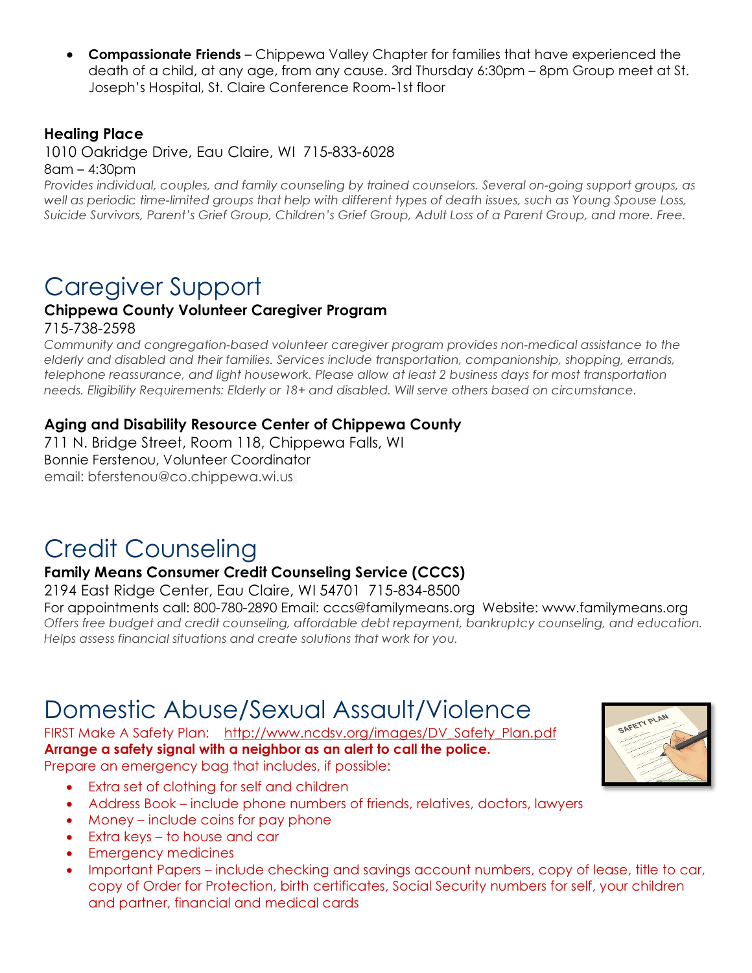**Compassionate Friends** – Chippewa Valley Chapter for families that have experienced the death of a child, at any age, from any cause. 3rd Thursday 6:30pm – 8pm Group meet at St. Joseph's Hospital, St. Claire Conference Room-1st floor

#### Healing Place

1010 Oakridge Drive, Eau Claire, WI 715-833-6028

8am – 4:30pm

Provides individual, couples, and family counseling by trained counselors. Several on-going support groups, as well as periodic time-limited groups that help with different types of death issues, such as Young Spouse Loss, Suicide Survivors, Parent's Grief Group, Children's Grief Group, Adult Loss of a Parent Group, and more. Free.

# Caregiver Support

## Chippewa County Volunteer Caregiver Program

715-738-2598

Community and congregation-based volunteer caregiver program provides non-medical assistance to the elderly and disabled and their families. Services include transportation, companionship, shopping, errands, telephone reassurance, and light housework. Please allow at least 2 business days for most transportation needs. Eligibility Requirements: Elderly or 18+ and disabled. Will serve others based on circumstance.

#### Aging and Disability Resource Center of Chippewa County

711 N. Bridge Street, Room 118, Chippewa Falls, WI Bonnie Ferstenou, Volunteer Coordinator email: bferstenou@co.chippewa.wi.us

# Credit Counseling

#### Family Means Consumer Credit Counseling Service (CCCS)

2194 East Ridge Center, Eau Claire, WI 54701 715-834-8500

For appointments call: 800-780-2890 Email: cccs@familymeans.org Website: www.familymeans.org Offers free budget and credit counseling, affordable debt repayment, bankruptcy counseling, and education. Helps assess financial situations and create solutions that work for you.

# Domestic Abuse/Sexual Assault/Violence

FIRST Make A Safety Plan: http://www.ncdsv.org/images/DV\_Safety\_Plan.pdf Arrange a safety signal with a neighbor as an alert to call the police. Prepare an emergency bag that includes, if possible:

- Extra set of clothing for self and children
- Address Book include phone numbers of friends, relatives, doctors, lawyers
- Money include coins for pay phone
- Extra keys to house and car
- Emergency medicines
- Important Papers include checking and savings account numbers, copy of lease, title to car, copy of Order for Protection, birth certificates, Social Security numbers for self, your children and partner, financial and medical cards

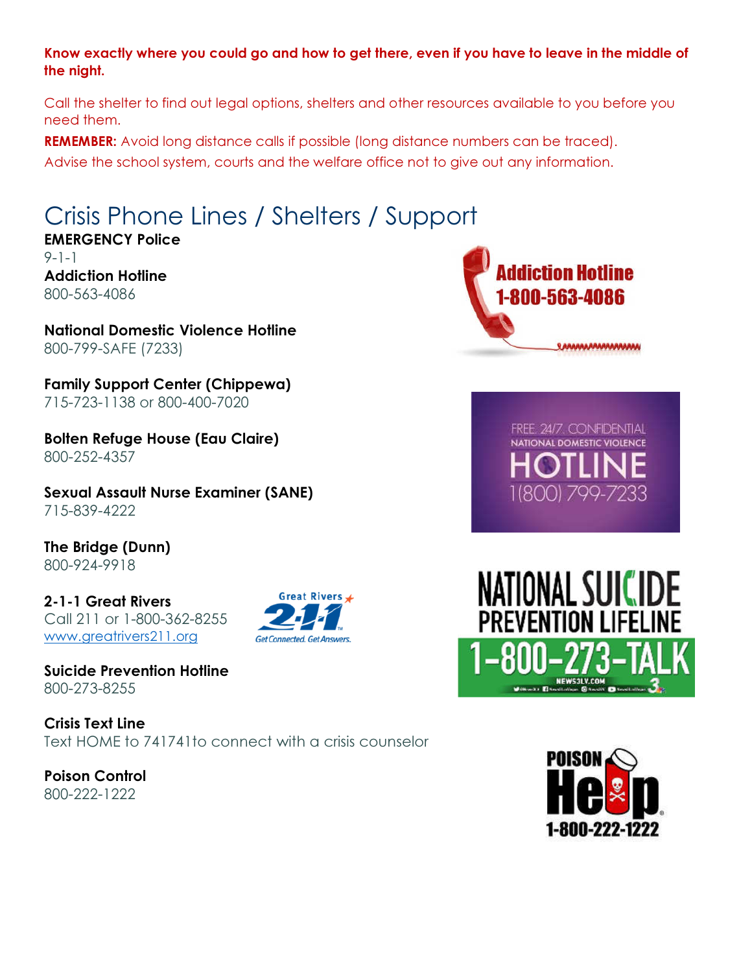#### Know exactly where you could go and how to get there, even if you have to leave in the middle of the night.

Call the shelter to find out legal options, shelters and other resources available to you before you need them.

REMEMBER: Avoid long distance calls if possible (long distance numbers can be traced).

Advise the school system, courts and the welfare office not to give out any information.

# Crisis Phone Lines / Shelters / Support

EMERGENCY Police 9-1-1 Addiction Hotline 800-563-4086

National Domestic Violence Hotline 800-799-SAFE (7233)

Family Support Center (Chippewa) 715-723-1138 or 800-400-7020

Bolten Refuge House (Eau Claire) 800-252-4357

Sexual Assault Nurse Examiner (SANE) 715-839-4222

The Bridge (Dunn) 800-924-9918

2-1-1 Great Rivers Call 211 or 1-800-362-8255 www.greatrivers211.org



Suicide Prevention Hotline 800-273-8255

Crisis Text Line Text HOME to 741741to connect with a crisis counselor

Poison Control 800-222-1222



FREE 24/7 CONFIDENTIAL NATIONAL DOMESTIC VIOLENCE 11800) 799-7233



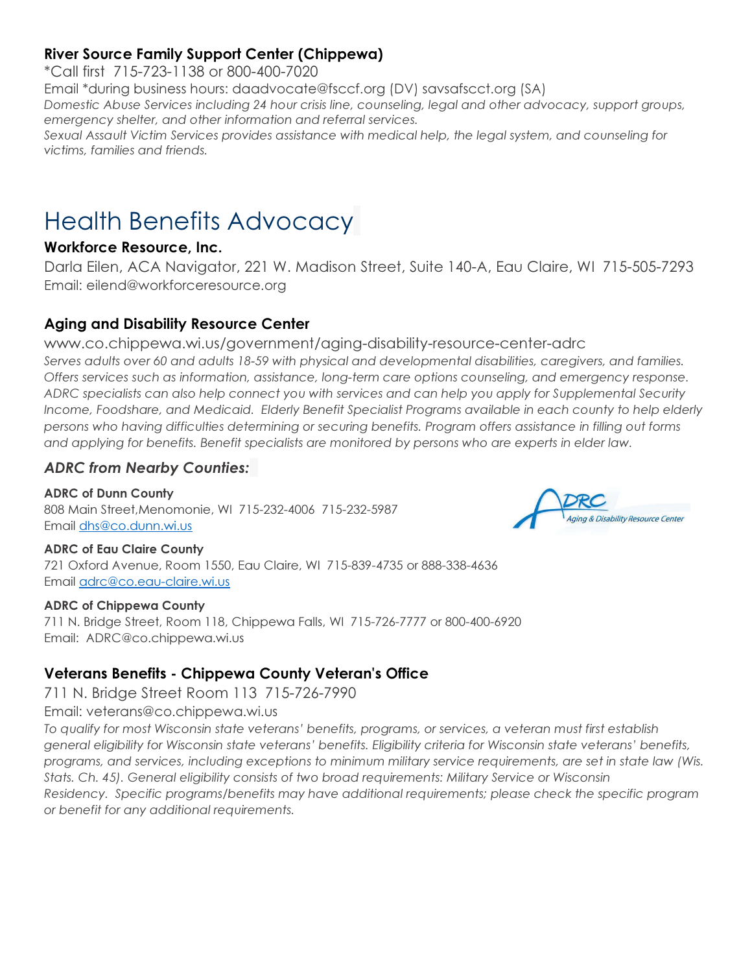## River Source Family Support Center (Chippewa)

\*Call first 715-723-1138 or 800-400-7020

Email \*during business hours: daadvocate@fsccf.org (DV) savsafscct.org (SA) Domestic Abuse Services including 24 hour crisis line, counseling, legal and other advocacy, support groups, emergency shelter, and other information and referral services. Sexual Assault Victim Services provides assistance with medical help, the legal system, and counseling for victims, families and friends.

# Health Benefits Advocacy

#### Workforce Resource, Inc.

Darla Eilen, ACA Navigator, 221 W. Madison Street, Suite 140-A, Eau Claire, WI 715-505-7293 Email: eilend@workforceresource.org

### Aging and Disability Resource Center

www.co.chippewa.wi.us/government/aging-disability-resource-center-adrc

Serves adults over 60 and adults 18-59 with physical and developmental disabilities, caregivers, and families. Offers services such as information, assistance, long-term care options counseling, and emergency response. ADRC specialists can also help connect you with services and can help you apply for Supplemental Security Income, Foodshare, and Medicaid. Elderly Benefit Specialist Programs available in each county to help elderly persons who having difficulties determining or securing benefits. Program offers assistance in filling out forms and applying for benefits. Benefit specialists are monitored by persons who are experts in elder law.

#### ADRC from Nearby Counties:

ADRC of Dunn County 808 Main Street,Menomonie, WI 715-232-4006 715-232-5987 Email dhs@co.dunn.wi.us



#### ADRC of Eau Claire County

721 Oxford Avenue, Room 1550, Eau Claire, WI 715-839-4735 or 888-338-4636 Email adrc@co.eau-claire.wi.us

#### ADRC of Chippewa County

711 N. Bridge Street, Room 118, Chippewa Falls, WI 715-726-7777 or 800-400-6920 Email: ADRC@co.chippewa.wi.us

## Veterans Benefits - Chippewa County Veteran's Office

711 N. Bridge Street Room 113 715-726-7990

Email: veterans@co.chippewa.wi.us

To qualify for most Wisconsin state veterans' benefits, programs, or services, a veteran must first establish general eligibility for Wisconsin state veterans' benefits. Eligibility criteria for Wisconsin state veterans' benefits, programs, and services, including exceptions to minimum military service requirements, are set in state law (Wis. Stats. Ch. 45). General eligibility consists of two broad requirements: Military Service or Wisconsin Residency. Specific programs/benefits may have additional requirements; please check the specific program or benefit for any additional requirements.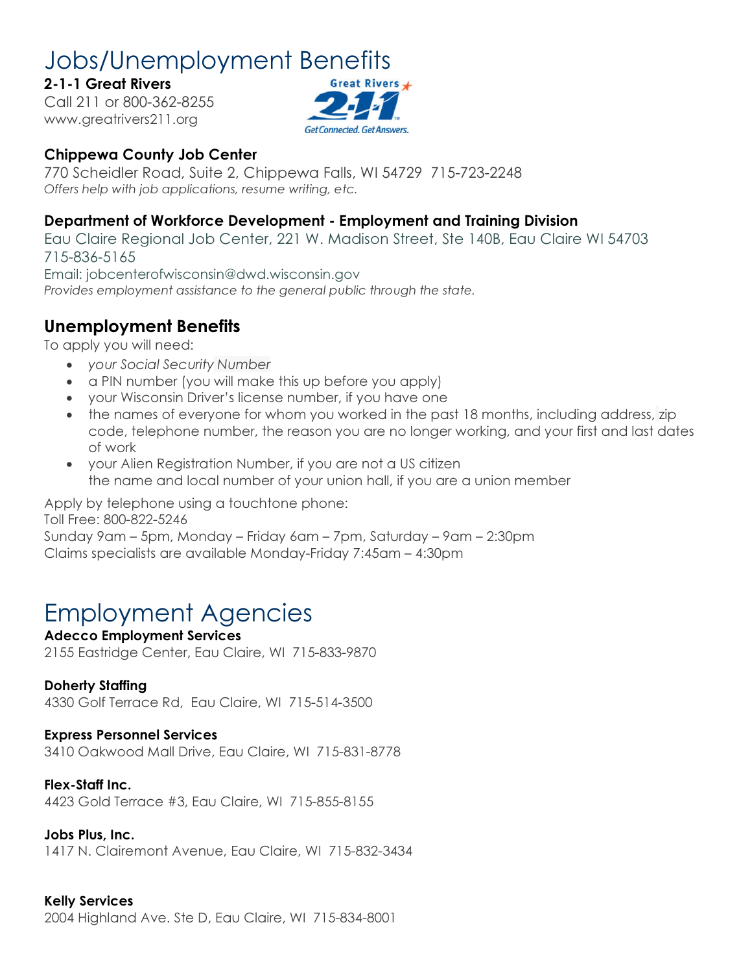# Jobs/Unemployment Benefits

### 2-1-1 Great Rivers

Call 211 or 800-362-8255 www.greatrivers211.org



## Chippewa County Job Center

770 Scheidler Road, Suite 2, Chippewa Falls, WI 54729 715-723-2248 Offers help with job applications, resume writing, etc.

## Department of Workforce Development - Employment and Training Division

Eau Claire Regional Job Center, 221 W. Madison Street, Ste 140B, Eau Claire WI 54703 715-836-5165

Email: jobcenterofwisconsin@dwd.wisconsin.gov Provides employment assistance to the general public through the state.

# Unemployment Benefits

To apply you will need:

- your Social Security Number
- a PIN number (you will make this up before you apply)
- your Wisconsin Driver's license number, if you have one
- the names of everyone for whom you worked in the past 18 months, including address, zip code, telephone number, the reason you are no longer working, and your first and last dates of work
- your Alien Registration Number, if you are not a US citizen the name and local number of your union hall, if you are a union member

Apply by telephone using a touchtone phone: Toll Free: 800-822-5246

Sunday 9am – 5pm, Monday – Friday 6am – 7pm, Saturday – 9am – 2:30pm Claims specialists are available Monday-Friday 7:45am – 4:30pm

# Employment Agencies

Adecco Employment Services 2155 Eastridge Center, Eau Claire, WI 715-833-9870

#### Doherty Staffing

4330 Golf Terrace Rd, Eau Claire, WI 715-514-3500

#### Express Personnel Services

3410 Oakwood Mall Drive, Eau Claire, WI 715-831-8778

#### Flex-Staff Inc.

4423 Gold Terrace #3, Eau Claire, WI 715-855-8155

#### Jobs Plus, Inc.

1417 N. Clairemont Avenue, Eau Claire, WI 715-832-3434

#### Kelly Services

2004 Highland Ave. Ste D, Eau Claire, WI 715-834-8001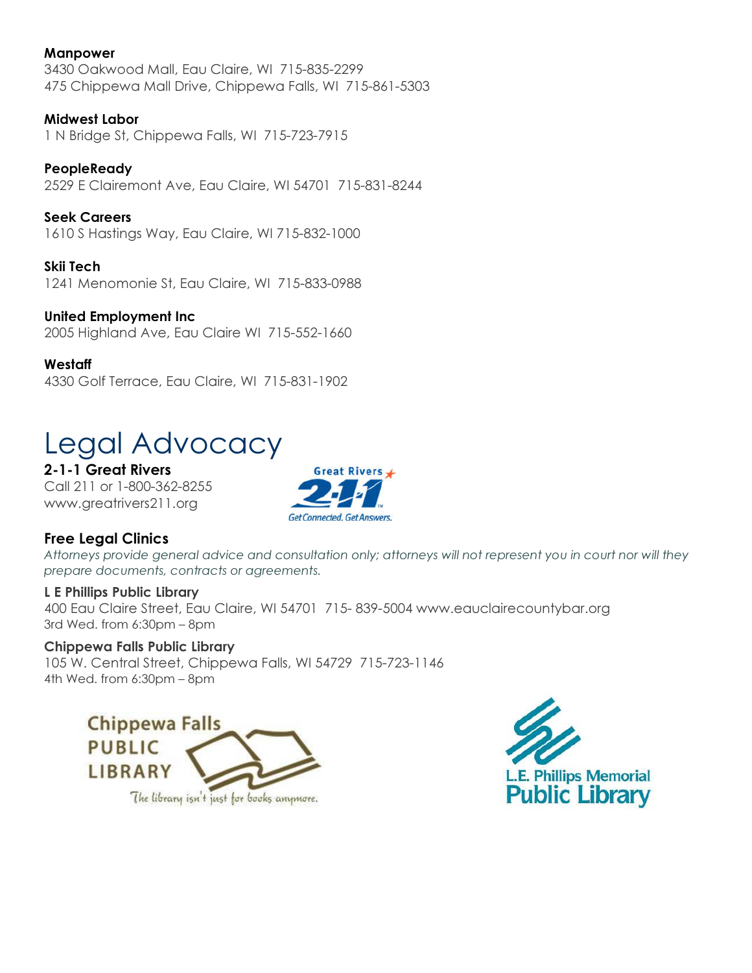#### Manpower

3430 Oakwood Mall, Eau Claire, WI 715-835-2299 475 Chippewa Mall Drive, Chippewa Falls, WI 715-861-5303

#### Midwest Labor

1 N Bridge St, Chippewa Falls, WI 715-723-7915

**PeopleReady** 2529 E Clairemont Ave, Eau Claire, WI 54701 715-831-8244

Seek Careers 1610 S Hastings Way, Eau Claire, WI 715-832-1000

Skii Tech 1241 Menomonie St, Eau Claire, WI 715-833-0988

United Employment Inc 2005 Highland Ave, Eau Claire WI 715-552-1660

**Westaff** 4330 Golf Terrace, Eau Claire, WI 715-831-1902

# Legal Advocacy

2-1-1 Great Rivers Call 211 or 1-800-362-8255 www.greatrivers211.org



#### Free Legal Clinics

Attorneys provide general advice and consultation only; attorneys will not represent you in court nor will they prepare documents, contracts or agreements.

#### L E Phillips Public Library

400 Eau Claire Street, Eau Claire, WI 54701 715- 839-5004 www.eauclairecountybar.org 3rd Wed. from 6:30pm – 8pm

#### Chippewa Falls Public Library

105 W. Central Street, Chippewa Falls, WI 54729 715-723-1146 4th Wed. from 6:30pm – 8pm



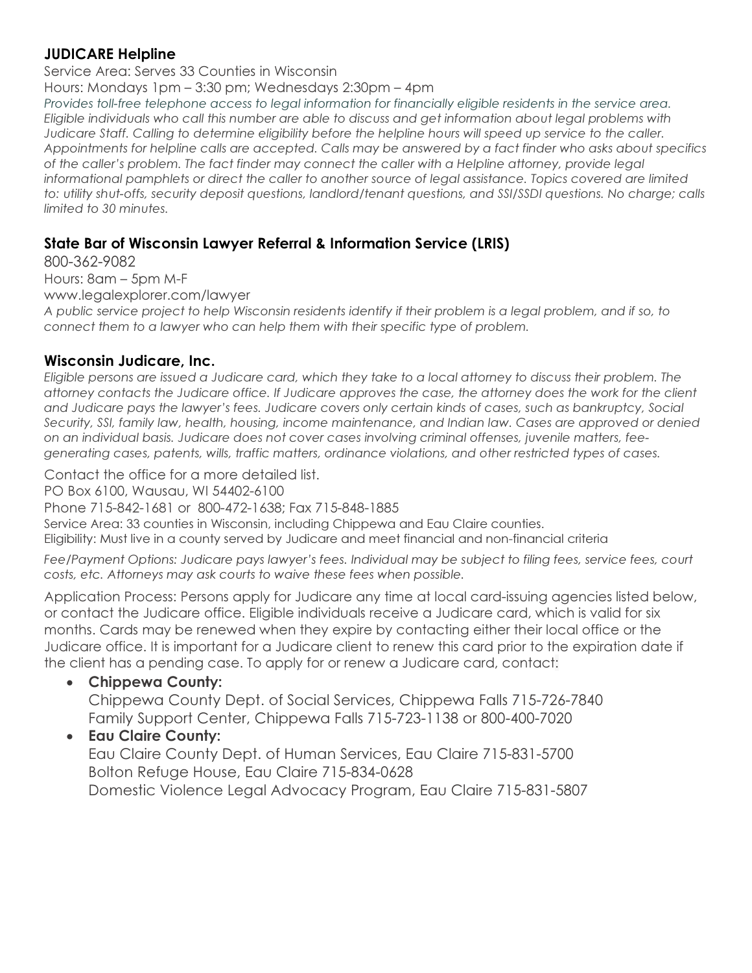### JUDICARE Helpline

Service Area: Serves 33 Counties in Wisconsin Hours: Mondays 1pm – 3:30 pm; Wednesdays 2:30pm – 4pm Provides toll-free telephone access to legal information for financially eligible residents in the service area. Eligible individuals who call this number are able to discuss and get information about legal problems with Judicare Staff. Calling to determine eligibility before the helpline hours will speed up service to the caller. Appointments for helpline calls are accepted. Calls may be answered by a fact finder who asks about specifics of the caller's problem. The fact finder may connect the caller with a Helpline attorney, provide legal informational pamphlets or direct the caller to another source of legal assistance. Topics covered are limited to: utility shut-offs, security deposit questions, landlord/tenant questions, and SSI/SSDI questions. No charge; calls limited to 30 minutes.

### State Bar of Wisconsin Lawyer Referral & Information Service (LRIS)

800-362-9082 Hours: 8am – 5pm M-F www.legalexplorer.com/lawyer A public service project to help Wisconsin residents identify if their problem is a legal problem, and if so, to connect them to a lawyer who can help them with their specific type of problem.

#### Wisconsin Judicare, Inc.

Eligible persons are issued a Judicare card, which they take to a local attorney to discuss their problem. The attorney contacts the Judicare office. If Judicare approves the case, the attorney does the work for the client and Judicare pays the lawyer's fees. Judicare covers only certain kinds of cases, such as bankruptcy, Social Security, SSI, family law, health, housing, income maintenance, and Indian law. Cases are approved or denied on an individual basis. Judicare does not cover cases involving criminal offenses, juvenile matters, feegenerating cases, patents, wills, traffic matters, ordinance violations, and other restricted types of cases.

Contact the office for a more detailed list.

PO Box 6100, Wausau, WI 54402-6100

Phone 715-842-1681 or 800-472-1638; Fax 715-848-1885

Service Area: 33 counties in Wisconsin, including Chippewa and Eau Claire counties. Eligibility: Must live in a county served by Judicare and meet financial and non-financial criteria

Fee/Payment Options: Judicare pays lawyer's fees. Individual may be subject to filing fees, service fees, court costs, etc. Attorneys may ask courts to waive these fees when possible.

Application Process: Persons apply for Judicare any time at local card-issuing agencies listed below, or contact the Judicare office. Eligible individuals receive a Judicare card, which is valid for six months. Cards may be renewed when they expire by contacting either their local office or the Judicare office. It is important for a Judicare client to renew this card prior to the expiration date if the client has a pending case. To apply for or renew a Judicare card, contact:

#### Chippewa County:

Chippewa County Dept. of Social Services, Chippewa Falls 715-726-7840 Family Support Center, Chippewa Falls 715-723-1138 or 800-400-7020

### Eau Claire County:

Eau Claire County Dept. of Human Services, Eau Claire 715-831-5700 Bolton Refuge House, Eau Claire 715-834-0628 Domestic Violence Legal Advocacy Program, Eau Claire 715-831-5807